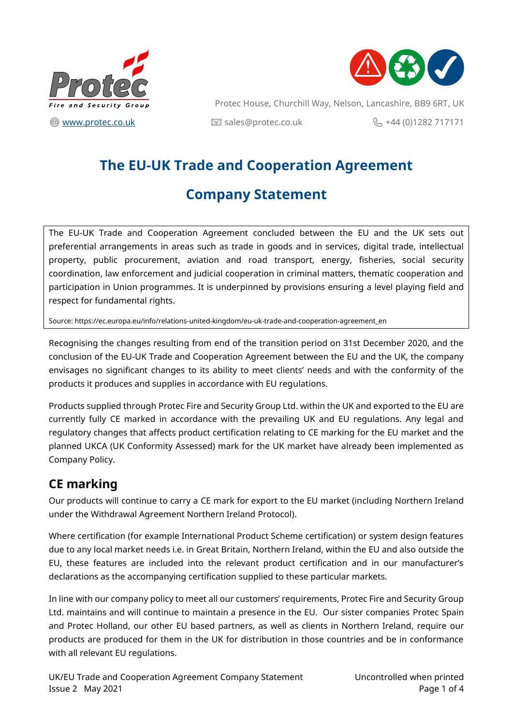



Protec House, Churchill Way, Nelson, Lancashire, BB9 6RT, UK  $\circledR$  [www.protec.co.uk](http://www.protec.co.uk/) and  $\circledR$  sales@protec.co.uk  $\circledR$  +44 (0)1282 717171

# **The EU-UK Trade and Cooperation Agreement**

# **Company Statement**

The EU-UK Trade and Cooperation Agreement concluded between the EU and the UK sets out preferential arrangements in areas such as trade in goods and in services, digital trade, intellectual property, public procurement, aviation and road transport, energy, fisheries, social security coordination, law enforcement and judicial cooperation in criminal matters, thematic cooperation and participation in Union programmes. It is underpinned by provisions ensuring a level playing field and respect for fundamental rights.

Source: https://ec.europa.eu/info/relations-united-kingdom/eu-uk-trade-and-cooperation-agreement\_en

Recognising the changes resulting from end of the transition period on 31st December 2020, and the conclusion of the EU-UK Trade and Cooperation Agreement between the EU and the UK, the company envisages no significant changes to its ability to meet clients' needs and with the conformity of the products it produces and supplies in accordance with EU regulations.

Products supplied through Protec Fire and Security Group Ltd. within the UK and exported to the EU are currently fully CE marked in accordance with the prevailing UK and EU regulations. Any legal and regulatory changes that affects product certification relating to CE marking for the EU market and the planned UKCA (UK Conformity Assessed) mark for the UK market have already been implemented as Company Policy.

## **CE marking**

Our products will continue to carry a CE mark for export to the EU market (including Northern Ireland under the Withdrawal Agreement Northern Ireland Protocol).

Where certification (for example International Product Scheme certification) or system design features due to any local market needs i.e. in Great Britain, Northern Ireland, within the EU and also outside the EU, these features are included into the relevant product certification and in our manufacturer's declarations as the accompanying certification supplied to these particular markets.

In line with our company policy to meet all our customers' requirements, Protec Fire and Security Group Ltd. maintains and will continue to maintain a presence in the EU. Our sister companies Protec Spain and Protec Holland, our other EU based partners, as well as clients in Northern Ireland, require our products are produced for them in the UK for distribution in those countries and be in conformance with all relevant EU regulations.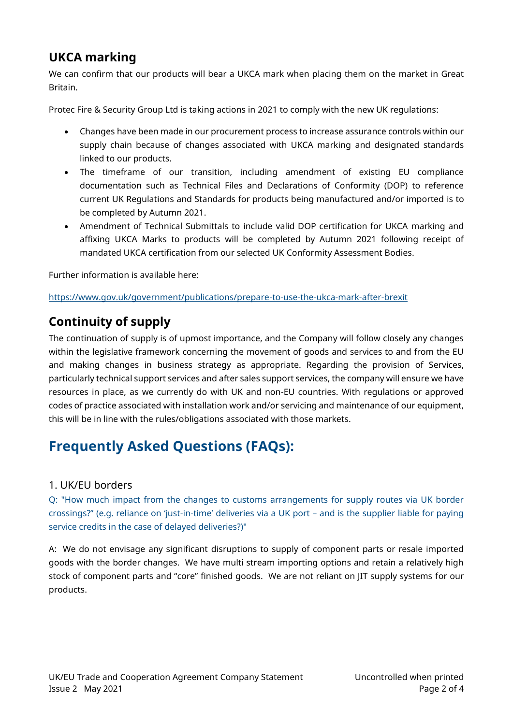## **UKCA marking**

We can confirm that our products will bear a UKCA mark when placing them on the market in Great Britain.

Protec Fire & Security Group Ltd is taking actions in 2021 to comply with the new UK regulations:

- Changes have been made in our procurement process to increase assurance controls within our supply chain because of changes associated with UKCA marking and designated standards linked to our products.
- The timeframe of our transition, including amendment of existing EU compliance documentation such as Technical Files and Declarations of Conformity (DOP) to reference current UK Regulations and Standards for products being manufactured and/or imported is to be completed by Autumn 2021.
- Amendment of Technical Submittals to include valid DOP certification for UKCA marking and affixing UKCA Marks to products will be completed by Autumn 2021 following receipt of mandated UKCA certification from our selected UK Conformity Assessment Bodies.

Further information is available here:

<https://www.gov.uk/government/publications/prepare-to-use-the-ukca-mark-after-brexit>

## **Continuity of supply**

The continuation of supply is of upmost importance, and the Company will follow closely any changes within the legislative framework concerning the movement of goods and services to and from the EU and making changes in business strategy as appropriate. Regarding the provision of Services, particularly technical support services and after sales support services, the company will ensure we have resources in place, as we currently do with UK and non-EU countries. With regulations or approved codes of practice associated with installation work and/or servicing and maintenance of our equipment, this will be in line with the rules/obligations associated with those markets.

# **Frequently Asked Questions (FAQs):**

## 1. UK/EU borders

Q: "How much impact from the changes to customs arrangements for supply routes via UK border crossings?" (e.g. reliance on 'just-in-time' deliveries via a UK port – and is the supplier liable for paying service credits in the case of delayed deliveries?)"

A: We do not envisage any significant disruptions to supply of component parts or resale imported goods with the border changes. We have multi stream importing options and retain a relatively high stock of component parts and "core" finished goods. We are not reliant on JIT supply systems for our products.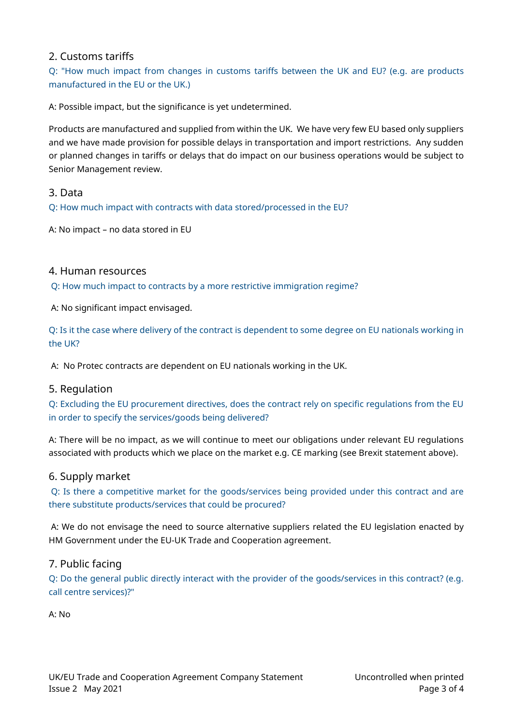## 2. Customs tariffs

Q: "How much impact from changes in customs tariffs between the UK and EU? (e.g. are products manufactured in the EU or the UK.)

A: Possible impact, but the significance is yet undetermined.

Products are manufactured and supplied from within the UK. We have very few EU based only suppliers and we have made provision for possible delays in transportation and import restrictions. Any sudden or planned changes in tariffs or delays that do impact on our business operations would be subject to Senior Management review.

### 3. Data

Q: How much impact with contracts with data stored/processed in the EU?

A: No impact – no data stored in EU

#### 4. Human resources

Q: How much impact to contracts by a more restrictive immigration regime?

A: No significant impact envisaged.

Q: Is it the case where delivery of the contract is dependent to some degree on EU nationals working in the UK?

A: No Protec contracts are dependent on EU nationals working in the UK.

## 5. Regulation

Q: Excluding the EU procurement directives, does the contract rely on specific regulations from the EU in order to specify the services/goods being delivered?

A: There will be no impact, as we will continue to meet our obligations under relevant EU regulations associated with products which we place on the market e.g. CE marking (see Brexit statement above).

#### 6. Supply market

Q: Is there a competitive market for the goods/services being provided under this contract and are there substitute products/services that could be procured?

A: We do not envisage the need to source alternative suppliers related the EU legislation enacted by HM Government under the EU-UK Trade and Cooperation agreement.

## 7. Public facing

Q: Do the general public directly interact with the provider of the goods/services in this contract? (e.g. call centre services)?"

A: No